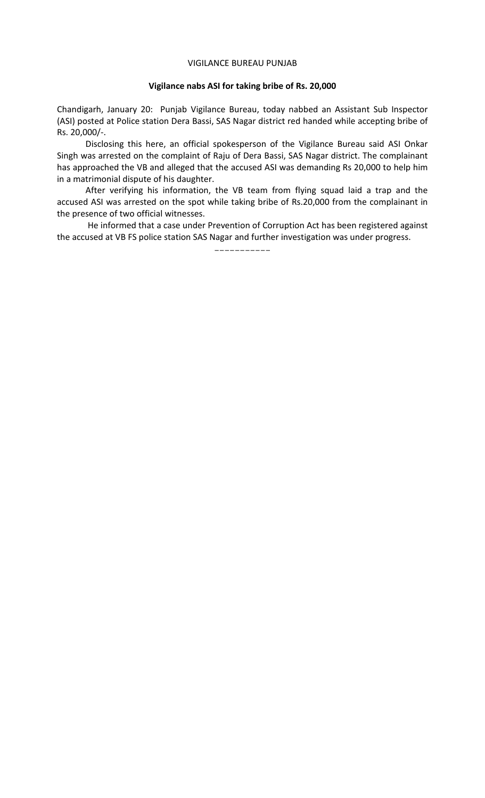## VIGILANCE BUREAU PUNJAB

## **Vigilance nabs ASI for taking bribe of Rs. 20,000**

Chandigarh, January 20: Punjab Vigilance Bureau, today nabbed an Assistant Sub Inspector (ASI) posted at Police station Dera Bassi, SAS Nagar district red handed while accepting bribe of Rs. 20,000/-.

 Disclosing this here, an official spokesperson of the Vigilance Bureau said ASI Onkar Singh was arrested on the complaint of Raju of Dera Bassi, SAS Nagar district. The complainant has approached the VB and alleged that the accused ASI was demanding Rs 20,000 to help him in a matrimonial dispute of his daughter.

 After verifying his information, the VB team from flying squad laid a trap and the accused ASI was arrested on the spot while taking bribe of Rs.20,000 from the complainant in the presence of two official witnesses.

 He informed that a case under Prevention of Corruption Act has been registered against the accused at VB FS police station SAS Nagar and further investigation was under progress.

-----------